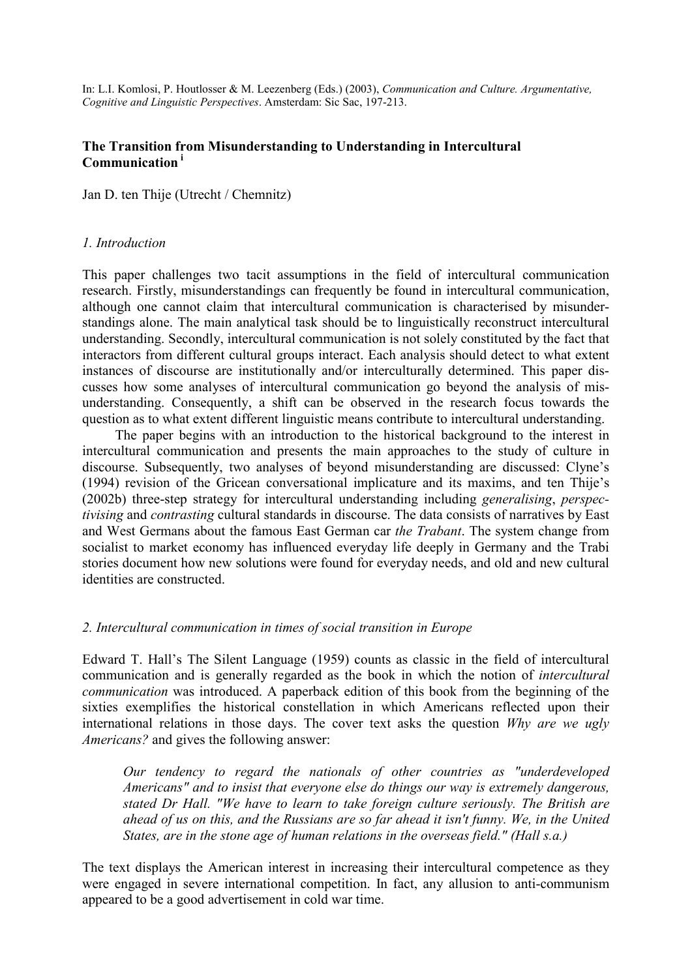In: L.I. Komlosi, P. Houtlosser & M. Leezenberg (Eds.) (2003), Communication and Culture. Argumentative, Cognitive and Linguistic Perspectives. Amsterdam: Sic Sac, 197-213.

## The Transition from Misunderstanding to Understanding in Intercultural Communication<sup>i</sup>

Jan D. ten Thije (Utrecht / Chemnitz)

### 1. Introduction

This paper challenges two tacit assumptions in the field of intercultural communication research. Firstly, misunderstandings can frequently be found in intercultural communication, although one cannot claim that intercultural communication is characterised by misunderstandings alone. The main analytical task should be to linguistically reconstruct intercultural understanding. Secondly, intercultural communication is not solely constituted by the fact that interactors from different cultural groups interact. Each analysis should detect to what extent instances of discourse are institutionally and/or interculturally determined. This paper discusses how some analyses of intercultural communication go beyond the analysis of misunderstanding. Consequently, a shift can be observed in the research focus towards the question as to what extent different linguistic means contribute to intercultural understanding.

 The paper begins with an introduction to the historical background to the interest in intercultural communication and presents the main approaches to the study of culture in discourse. Subsequently, two analyses of beyond misunderstanding are discussed: Clyne's (1994) revision of the Gricean conversational implicature and its maxims, and ten Thije's (2002b) three-step strategy for intercultural understanding including generalising, perspectivising and contrasting cultural standards in discourse. The data consists of narratives by East and West Germans about the famous East German car the Trabant. The system change from socialist to market economy has influenced everyday life deeply in Germany and the Trabi stories document how new solutions were found for everyday needs, and old and new cultural identities are constructed.

### 2. Intercultural communication in times of social transition in Europe

Edward T. Hall's The Silent Language (1959) counts as classic in the field of intercultural communication and is generally regarded as the book in which the notion of intercultural communication was introduced. A paperback edition of this book from the beginning of the sixties exemplifies the historical constellation in which Americans reflected upon their international relations in those days. The cover text asks the question Why are we ugly Americans? and gives the following answer:

Our tendency to regard the nationals of other countries as "underdeveloped Americans" and to insist that everyone else do things our way is extremely dangerous, stated Dr Hall. "We have to learn to take foreign culture seriously. The British are ahead of us on this, and the Russians are so far ahead it isn't funny. We, in the United States, are in the stone age of human relations in the overseas field." (Hall s.a.)

The text displays the American interest in increasing their intercultural competence as they were engaged in severe international competition. In fact, any allusion to anti-communism appeared to be a good advertisement in cold war time.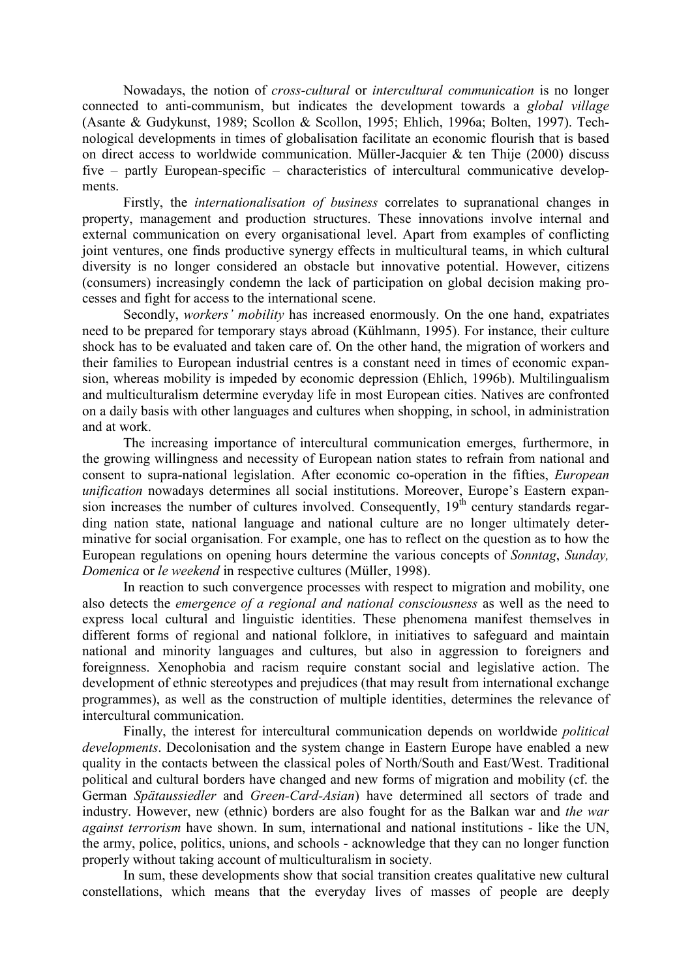Nowadays, the notion of cross-cultural or intercultural communication is no longer connected to anti-communism, but indicates the development towards a global village (Asante & Gudykunst, 1989; Scollon & Scollon, 1995; Ehlich, 1996a; Bolten, 1997). Technological developments in times of globalisation facilitate an economic flourish that is based on direct access to worldwide communication. Müller-Jacquier & ten Thije (2000) discuss five – partly European-specific – characteristics of intercultural communicative developments.

Firstly, the internationalisation of business correlates to supranational changes in property, management and production structures. These innovations involve internal and external communication on every organisational level. Apart from examples of conflicting joint ventures, one finds productive synergy effects in multicultural teams, in which cultural diversity is no longer considered an obstacle but innovative potential. However, citizens (consumers) increasingly condemn the lack of participation on global decision making processes and fight for access to the international scene.

Secondly, *workers' mobility* has increased enormously. On the one hand, expatriates need to be prepared for temporary stays abroad (Kühlmann, 1995). For instance, their culture shock has to be evaluated and taken care of. On the other hand, the migration of workers and their families to European industrial centres is a constant need in times of economic expansion, whereas mobility is impeded by economic depression (Ehlich, 1996b). Multilingualism and multiculturalism determine everyday life in most European cities. Natives are confronted on a daily basis with other languages and cultures when shopping, in school, in administration and at work.

The increasing importance of intercultural communication emerges, furthermore, in the growing willingness and necessity of European nation states to refrain from national and consent to supra-national legislation. After economic co-operation in the fifties, European unification nowadays determines all social institutions. Moreover, Europe's Eastern expansion increases the number of cultures involved. Consequently,  $19<sup>th</sup>$  century standards regarding nation state, national language and national culture are no longer ultimately determinative for social organisation. For example, one has to reflect on the question as to how the European regulations on opening hours determine the various concepts of Sonntag, Sunday, Domenica or le weekend in respective cultures (Müller, 1998).

In reaction to such convergence processes with respect to migration and mobility, one also detects the emergence of a regional and national consciousness as well as the need to express local cultural and linguistic identities. These phenomena manifest themselves in different forms of regional and national folklore, in initiatives to safeguard and maintain national and minority languages and cultures, but also in aggression to foreigners and foreignness. Xenophobia and racism require constant social and legislative action. The development of ethnic stereotypes and prejudices (that may result from international exchange programmes), as well as the construction of multiple identities, determines the relevance of intercultural communication.

Finally, the interest for intercultural communication depends on worldwide political developments. Decolonisation and the system change in Eastern Europe have enabled a new quality in the contacts between the classical poles of North/South and East/West. Traditional political and cultural borders have changed and new forms of migration and mobility (cf. the German Spätaussiedler and Green-Card-Asian) have determined all sectors of trade and industry. However, new (ethnic) borders are also fought for as the Balkan war and the war against terrorism have shown. In sum, international and national institutions - like the UN, the army, police, politics, unions, and schools - acknowledge that they can no longer function properly without taking account of multiculturalism in society.

In sum, these developments show that social transition creates qualitative new cultural constellations, which means that the everyday lives of masses of people are deeply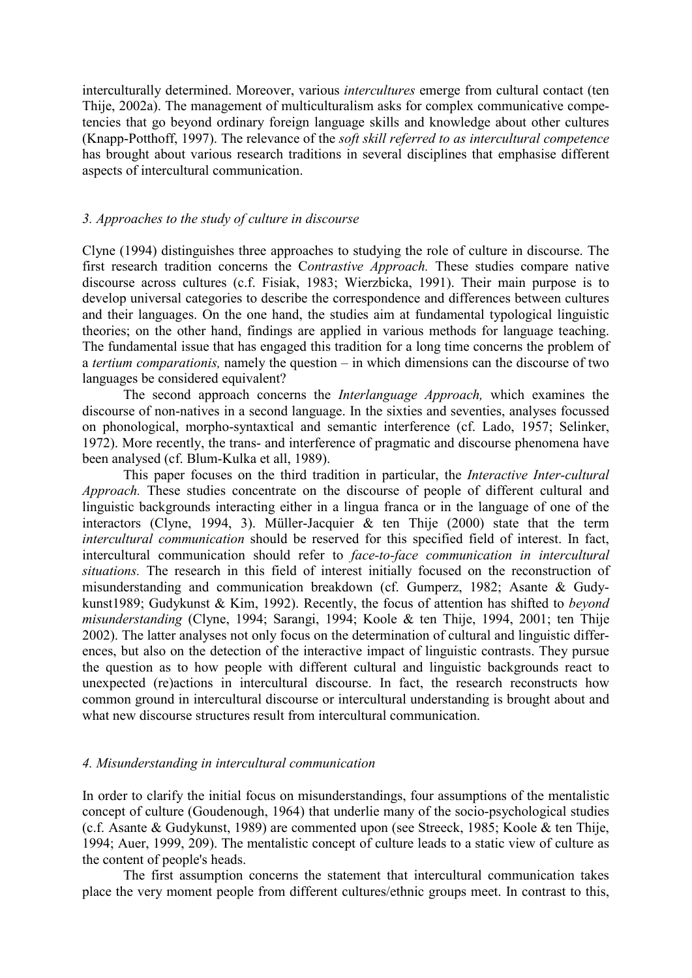interculturally determined. Moreover, various intercultures emerge from cultural contact (ten Thije, 2002a). The management of multiculturalism asks for complex communicative competencies that go beyond ordinary foreign language skills and knowledge about other cultures (Knapp-Potthoff, 1997). The relevance of the soft skill referred to as intercultural competence has brought about various research traditions in several disciplines that emphasise different aspects of intercultural communication.

### 3. Approaches to the study of culture in discourse

Clyne (1994) distinguishes three approaches to studying the role of culture in discourse. The first research tradition concerns the Contrastive Approach. These studies compare native discourse across cultures (c.f. Fisiak, 1983; Wierzbicka, 1991). Their main purpose is to develop universal categories to describe the correspondence and differences between cultures and their languages. On the one hand, the studies aim at fundamental typological linguistic theories; on the other hand, findings are applied in various methods for language teaching. The fundamental issue that has engaged this tradition for a long time concerns the problem of a tertium comparationis, namely the question – in which dimensions can the discourse of two languages be considered equivalent?

The second approach concerns the Interlanguage Approach, which examines the discourse of non-natives in a second language. In the sixties and seventies, analyses focussed on phonological, morpho-syntaxtical and semantic interference (cf. Lado, 1957; Selinker, 1972). More recently, the trans- and interference of pragmatic and discourse phenomena have been analysed (cf. Blum-Kulka et all, 1989).

This paper focuses on the third tradition in particular, the Interactive Inter-cultural Approach. These studies concentrate on the discourse of people of different cultural and linguistic backgrounds interacting either in a lingua franca or in the language of one of the interactors (Clyne, 1994, 3). Müller-Jacquier  $\&$  ten Thije (2000) state that the term intercultural communication should be reserved for this specified field of interest. In fact, intercultural communication should refer to face-to-face communication in intercultural situations. The research in this field of interest initially focused on the reconstruction of misunderstanding and communication breakdown (cf. Gumperz, 1982; Asante & Gudykunst1989; Gudykunst & Kim, 1992). Recently, the focus of attention has shifted to beyond misunderstanding (Clyne, 1994; Sarangi, 1994; Koole & ten Thije, 1994, 2001; ten Thije 2002). The latter analyses not only focus on the determination of cultural and linguistic differences, but also on the detection of the interactive impact of linguistic contrasts. They pursue the question as to how people with different cultural and linguistic backgrounds react to unexpected (re)actions in intercultural discourse. In fact, the research reconstructs how common ground in intercultural discourse or intercultural understanding is brought about and what new discourse structures result from intercultural communication.

#### 4. Misunderstanding in intercultural communication

In order to clarify the initial focus on misunderstandings, four assumptions of the mentalistic concept of culture (Goudenough, 1964) that underlie many of the socio-psychological studies (c.f. Asante & Gudykunst, 1989) are commented upon (see Streeck, 1985; Koole & ten Thije, 1994; Auer, 1999, 209). The mentalistic concept of culture leads to a static view of culture as the content of people's heads.

The first assumption concerns the statement that intercultural communication takes place the very moment people from different cultures/ethnic groups meet. In contrast to this,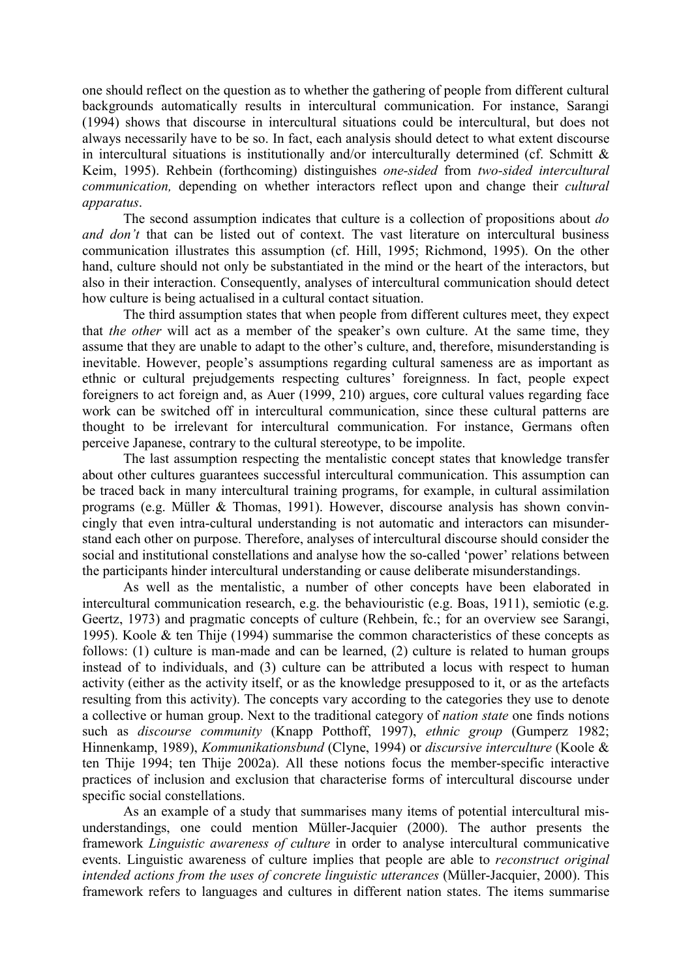one should reflect on the question as to whether the gathering of people from different cultural backgrounds automatically results in intercultural communication. For instance, Sarangi (1994) shows that discourse in intercultural situations could be intercultural, but does not always necessarily have to be so. In fact, each analysis should detect to what extent discourse in intercultural situations is institutionally and/or interculturally determined (cf. Schmitt  $\&$ Keim, 1995). Rehbein (forthcoming) distinguishes one-sided from two-sided intercultural communication, depending on whether interactors reflect upon and change their cultural apparatus.

The second assumption indicates that culture is a collection of propositions about do and don't that can be listed out of context. The vast literature on intercultural business communication illustrates this assumption (cf. Hill, 1995; Richmond, 1995). On the other hand, culture should not only be substantiated in the mind or the heart of the interactors, but also in their interaction. Consequently, analyses of intercultural communication should detect how culture is being actualised in a cultural contact situation.

The third assumption states that when people from different cultures meet, they expect that the other will act as a member of the speaker's own culture. At the same time, they assume that they are unable to adapt to the other's culture, and, therefore, misunderstanding is inevitable. However, people's assumptions regarding cultural sameness are as important as ethnic or cultural prejudgements respecting cultures' foreignness. In fact, people expect foreigners to act foreign and, as Auer (1999, 210) argues, core cultural values regarding face work can be switched off in intercultural communication, since these cultural patterns are thought to be irrelevant for intercultural communication. For instance, Germans often perceive Japanese, contrary to the cultural stereotype, to be impolite.

The last assumption respecting the mentalistic concept states that knowledge transfer about other cultures guarantees successful intercultural communication. This assumption can be traced back in many intercultural training programs, for example, in cultural assimilation programs (e.g. Müller & Thomas, 1991). However, discourse analysis has shown convincingly that even intra-cultural understanding is not automatic and interactors can misunderstand each other on purpose. Therefore, analyses of intercultural discourse should consider the social and institutional constellations and analyse how the so-called 'power' relations between the participants hinder intercultural understanding or cause deliberate misunderstandings.

As well as the mentalistic, a number of other concepts have been elaborated in intercultural communication research, e.g. the behaviouristic (e.g. Boas, 1911), semiotic (e.g. Geertz, 1973) and pragmatic concepts of culture (Rehbein, fc.; for an overview see Sarangi, 1995). Koole & ten Thije (1994) summarise the common characteristics of these concepts as follows: (1) culture is man-made and can be learned, (2) culture is related to human groups instead of to individuals, and (3) culture can be attributed a locus with respect to human activity (either as the activity itself, or as the knowledge presupposed to it, or as the artefacts resulting from this activity). The concepts vary according to the categories they use to denote a collective or human group. Next to the traditional category of nation state one finds notions such as *discourse community* (Knapp Potthoff, 1997), ethnic group (Gumperz 1982; Hinnenkamp, 1989), *Kommunikationsbund* (Clyne, 1994) or *discursive interculture* (Koole & ten Thije 1994; ten Thije 2002a). All these notions focus the member-specific interactive practices of inclusion and exclusion that characterise forms of intercultural discourse under specific social constellations.

As an example of a study that summarises many items of potential intercultural misunderstandings, one could mention Müller-Jacquier (2000). The author presents the framework Linguistic awareness of culture in order to analyse intercultural communicative events. Linguistic awareness of culture implies that people are able to reconstruct original intended actions from the uses of concrete linguistic utterances (Müller-Jacquier, 2000). This framework refers to languages and cultures in different nation states. The items summarise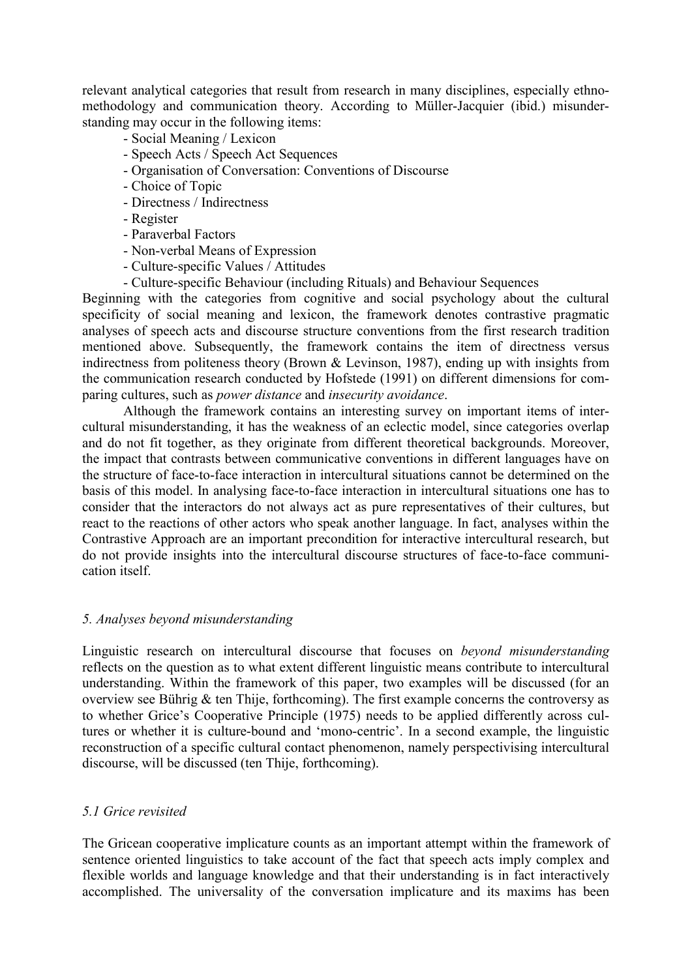relevant analytical categories that result from research in many disciplines, especially ethnomethodology and communication theory. According to Müller-Jacquier (ibid.) misunderstanding may occur in the following items:

- Social Meaning / Lexicon
- Speech Acts / Speech Act Sequences
- Organisation of Conversation: Conventions of Discourse
- Choice of Topic
- Directness / Indirectness
- Register
- Paraverbal Factors
- Non-verbal Means of Expression
- Culture-specific Values / Attitudes
- Culture-specific Behaviour (including Rituals) and Behaviour Sequences

Beginning with the categories from cognitive and social psychology about the cultural specificity of social meaning and lexicon, the framework denotes contrastive pragmatic analyses of speech acts and discourse structure conventions from the first research tradition mentioned above. Subsequently, the framework contains the item of directness versus indirectness from politeness theory (Brown & Levinson, 1987), ending up with insights from the communication research conducted by Hofstede (1991) on different dimensions for comparing cultures, such as power distance and insecurity avoidance.

Although the framework contains an interesting survey on important items of intercultural misunderstanding, it has the weakness of an eclectic model, since categories overlap and do not fit together, as they originate from different theoretical backgrounds. Moreover, the impact that contrasts between communicative conventions in different languages have on the structure of face-to-face interaction in intercultural situations cannot be determined on the basis of this model. In analysing face-to-face interaction in intercultural situations one has to consider that the interactors do not always act as pure representatives of their cultures, but react to the reactions of other actors who speak another language. In fact, analyses within the Contrastive Approach are an important precondition for interactive intercultural research, but do not provide insights into the intercultural discourse structures of face-to-face communication itself.

### 5. Analyses beyond misunderstanding

Linguistic research on intercultural discourse that focuses on beyond misunderstanding reflects on the question as to what extent different linguistic means contribute to intercultural understanding. Within the framework of this paper, two examples will be discussed (for an overview see Bührig  $&$  ten Thije, forthcoming). The first example concerns the controversy as to whether Grice's Cooperative Principle (1975) needs to be applied differently across cultures or whether it is culture-bound and 'mono-centric'. In a second example, the linguistic reconstruction of a specific cultural contact phenomenon, namely perspectivising intercultural discourse, will be discussed (ten Thije, forthcoming).

# 5.1 Grice revisited

The Gricean cooperative implicature counts as an important attempt within the framework of sentence oriented linguistics to take account of the fact that speech acts imply complex and flexible worlds and language knowledge and that their understanding is in fact interactively accomplished. The universality of the conversation implicature and its maxims has been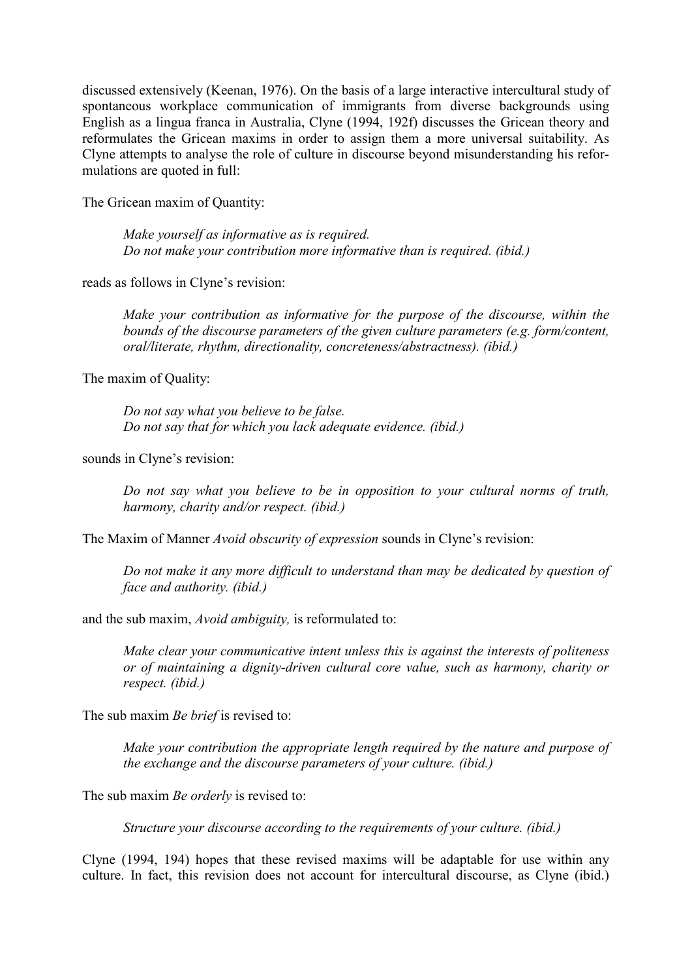discussed extensively (Keenan, 1976). On the basis of a large interactive intercultural study of spontaneous workplace communication of immigrants from diverse backgrounds using English as a lingua franca in Australia, Clyne (1994, 192f) discusses the Gricean theory and reformulates the Gricean maxims in order to assign them a more universal suitability. As Clyne attempts to analyse the role of culture in discourse beyond misunderstanding his reformulations are quoted in full:

The Gricean maxim of Quantity:

Make yourself as informative as is required. Do not make your contribution more informative than is required. (ibid.)

reads as follows in Clyne's revision:

Make your contribution as informative for the purpose of the discourse, within the bounds of the discourse parameters of the given culture parameters (e.g. form/content, oral/literate, rhythm, directionality, concreteness/abstractness). (ibid.)

The maxim of Quality:

Do not say what you believe to be false. Do not say that for which you lack adequate evidence. (ibid.)

sounds in Clyne's revision:

Do not say what you believe to be in opposition to your cultural norms of truth, harmony, charity and/or respect. (ibid.)

The Maxim of Manner *Avoid obscurity of expression* sounds in Clyne's revision:

Do not make it any more difficult to understand than may be dedicated by question of face and authority. (ibid.)

and the sub maxim, Avoid ambiguity, is reformulated to:

Make clear your communicative intent unless this is against the interests of politeness or of maintaining a dignity-driven cultural core value, such as harmony, charity or respect. (ibid.)

The sub maxim *Be brief* is revised to:

Make your contribution the appropriate length required by the nature and purpose of the exchange and the discourse parameters of your culture. (ibid.)

The sub maxim *Be orderly* is revised to:

Structure your discourse according to the requirements of your culture. (ibid.)

Clyne (1994, 194) hopes that these revised maxims will be adaptable for use within any culture. In fact, this revision does not account for intercultural discourse, as Clyne (ibid.)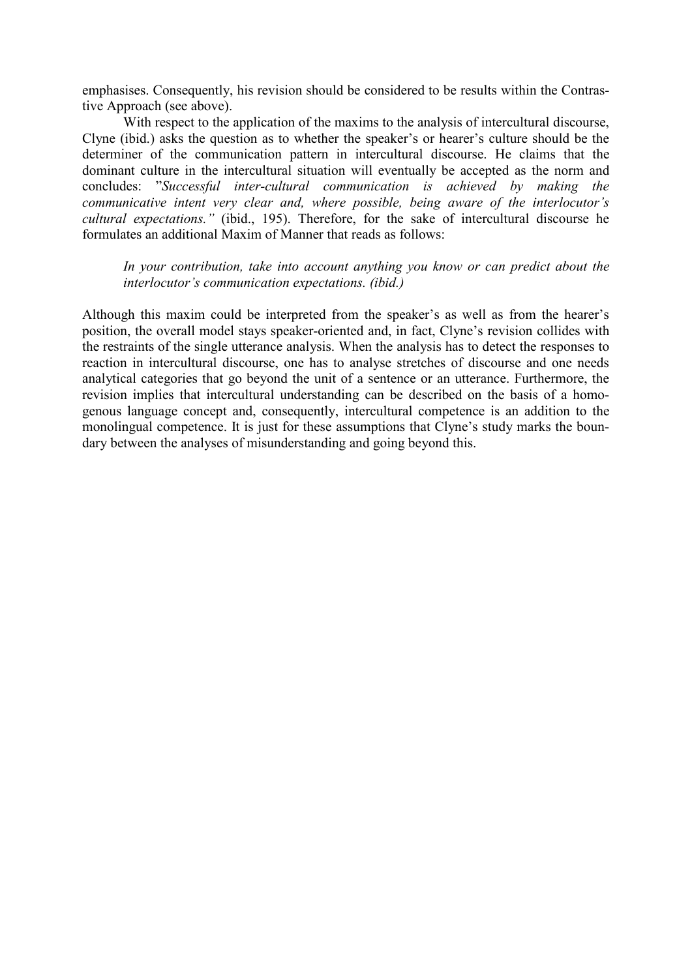emphasises. Consequently, his revision should be considered to be results within the Contrastive Approach (see above).

With respect to the application of the maxims to the analysis of intercultural discourse, Clyne (ibid.) asks the question as to whether the speaker's or hearer's culture should be the determiner of the communication pattern in intercultural discourse. He claims that the dominant culture in the intercultural situation will eventually be accepted as the norm and concludes: "Successful inter-cultural communication is achieved by making the communicative intent very clear and, where possible, being aware of the interlocutor's cultural expectations." (ibid., 195). Therefore, for the sake of intercultural discourse he formulates an additional Maxim of Manner that reads as follows:

In your contribution, take into account anything you know or can predict about the interlocutor's communication expectations. (ibid.)

Although this maxim could be interpreted from the speaker's as well as from the hearer's position, the overall model stays speaker-oriented and, in fact, Clyne's revision collides with the restraints of the single utterance analysis. When the analysis has to detect the responses to reaction in intercultural discourse, one has to analyse stretches of discourse and one needs analytical categories that go beyond the unit of a sentence or an utterance. Furthermore, the revision implies that intercultural understanding can be described on the basis of a homogenous language concept and, consequently, intercultural competence is an addition to the monolingual competence. It is just for these assumptions that Clyne's study marks the boundary between the analyses of misunderstanding and going beyond this.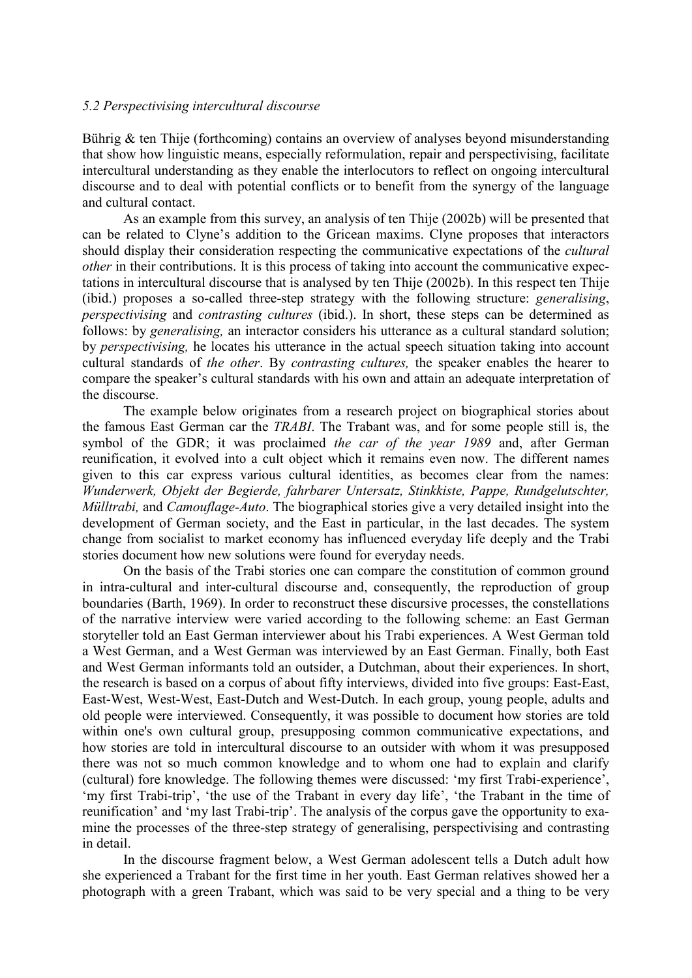### 5.2 Perspectivising intercultural discourse

Bührig & ten Thije (forthcoming) contains an overview of analyses beyond misunderstanding that show how linguistic means, especially reformulation, repair and perspectivising, facilitate intercultural understanding as they enable the interlocutors to reflect on ongoing intercultural discourse and to deal with potential conflicts or to benefit from the synergy of the language and cultural contact.

As an example from this survey, an analysis of ten Thije (2002b) will be presented that can be related to Clyne's addition to the Gricean maxims. Clyne proposes that interactors should display their consideration respecting the communicative expectations of the cultural other in their contributions. It is this process of taking into account the communicative expectations in intercultural discourse that is analysed by ten Thije (2002b). In this respect ten Thije (ibid.) proposes a so-called three-step strategy with the following structure: generalising, perspectivising and contrasting cultures (ibid.). In short, these steps can be determined as follows: by generalising, an interactor considers his utterance as a cultural standard solution; by perspectivising, he locates his utterance in the actual speech situation taking into account cultural standards of the other. By contrasting cultures, the speaker enables the hearer to compare the speaker's cultural standards with his own and attain an adequate interpretation of the discourse.

The example below originates from a research project on biographical stories about the famous East German car the TRABI. The Trabant was, and for some people still is, the symbol of the GDR; it was proclaimed the car of the year 1989 and, after German reunification, it evolved into a cult object which it remains even now. The different names given to this car express various cultural identities, as becomes clear from the names: Wunderwerk, Objekt der Begierde, fahrbarer Untersatz, Stinkkiste, Pappe, Rundgelutschter, Mülltrabi, and Camouflage-Auto. The biographical stories give a very detailed insight into the development of German society, and the East in particular, in the last decades. The system change from socialist to market economy has influenced everyday life deeply and the Trabi stories document how new solutions were found for everyday needs.

On the basis of the Trabi stories one can compare the constitution of common ground in intra-cultural and inter-cultural discourse and, consequently, the reproduction of group boundaries (Barth, 1969). In order to reconstruct these discursive processes, the constellations of the narrative interview were varied according to the following scheme: an East German storyteller told an East German interviewer about his Trabi experiences. A West German told a West German, and a West German was interviewed by an East German. Finally, both East and West German informants told an outsider, a Dutchman, about their experiences. In short, the research is based on a corpus of about fifty interviews, divided into five groups: East-East, East-West, West-West, East-Dutch and West-Dutch. In each group, young people, adults and old people were interviewed. Consequently, it was possible to document how stories are told within one's own cultural group, presupposing common communicative expectations, and how stories are told in intercultural discourse to an outsider with whom it was presupposed there was not so much common knowledge and to whom one had to explain and clarify (cultural) fore knowledge. The following themes were discussed: 'my first Trabi-experience', 'my first Trabi-trip', 'the use of the Trabant in every day life', 'the Trabant in the time of reunification' and 'my last Trabi-trip'. The analysis of the corpus gave the opportunity to examine the processes of the three-step strategy of generalising, perspectivising and contrasting in detail.

In the discourse fragment below, a West German adolescent tells a Dutch adult how she experienced a Trabant for the first time in her youth. East German relatives showed her a photograph with a green Trabant, which was said to be very special and a thing to be very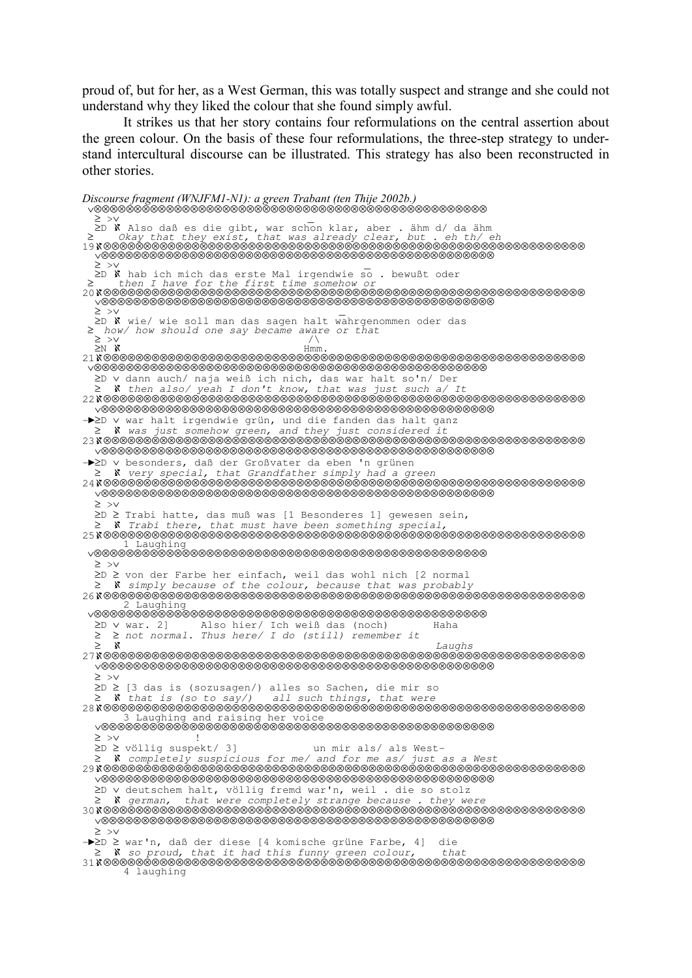proud of, but for her, as a West German, this was totally suspect and strange and she could not understand why they liked the colour that she found simply awful.

It strikes us that her story contains four reformulations on the central assertion about the green colour. On the basis of these four reformulations, the three-step strategy to understand intercultural discourse can be illustrated. This strategy has also been reconstructed in other stories.

```
Discourse fragment (WNJFM1-N1): a green Trabant (ten Thije 2002b.) 
 ∨⊗⊗⊗⊗⊗⊗⊗⊗⊗⊗⊗⊗⊗⊗⊗⊗⊗⊗⊗⊗⊗⊗⊗⊗⊗⊗⊗⊗⊗⊗⊗⊗⊗⊗⊗⊗⊗⊗⊗⊗⊗⊗⊗⊗⊗⊗⊗⊗⊗
 ≥ >∨ _ 
 ≥D ℵ Also daß es die gibt, war schon klar, aber . ähm d/ da ähm 
 ≥ Okay that they exist, that was already clear, but . eh th/ eh 
19ℵ⊗⊗⊗⊗⊗⊗⊗⊗⊗⊗⊗⊗⊗⊗⊗⊗⊗⊗⊗⊗⊗⊗⊗⊗⊗⊗⊗⊗⊗⊗⊗⊗⊗⊗⊗⊗⊗⊗⊗⊗⊗⊗⊗⊗⊗⊗⊗⊗⊗⊗⊗⊗⊗⊗⊗⊗⊗⊗⊗⊗ 
  ∨⊗⊗⊗⊗⊗⊗⊗⊗⊗⊗⊗⊗⊗⊗⊗⊗⊗⊗⊗⊗⊗⊗⊗⊗⊗⊗⊗⊗⊗⊗⊗⊗⊗⊗⊗⊗⊗⊗⊗⊗⊗⊗⊗⊗⊗⊗⊗⊗⊗
 ≥ >∨ _ 
 ≥D ℵ hab ich mich das erste Mal irgendwie so . bewußt oder 
      ≥ then I have for the first time somehow or 
20ℵ⊗⊗⊗⊗⊗⊗⊗⊗⊗⊗⊗⊗⊗⊗⊗⊗⊗⊗⊗⊗⊗⊗⊗⊗⊗⊗⊗⊗⊗⊗⊗⊗⊗⊗⊗⊗⊗⊗⊗⊗⊗⊗⊗⊗⊗⊗⊗⊗⊗⊗⊗⊗⊗⊗⊗⊗⊗⊗⊗⊗ 
  ∨⊗⊗⊗⊗⊗⊗⊗⊗⊗⊗⊗⊗⊗⊗⊗⊗⊗⊗⊗⊗⊗⊗⊗⊗⊗⊗⊗⊗⊗⊗⊗⊗⊗⊗⊗⊗⊗⊗⊗⊗⊗⊗⊗⊗⊗⊗⊗⊗⊗
 ≥ >∨ _ 
 ≥D ℵ wie/ wie soll man das sagen halt wahrgenommen oder das 
 ≥ how/ how should one say became aware or that
 ≥ >∨ /\ 
\geq N \aleph \blacksquare21ℵ⊗⊗⊗⊗⊗⊗⊗⊗⊗⊗⊗⊗⊗⊗⊗⊗⊗⊗⊗⊗⊗⊗⊗⊗⊗⊗⊗⊗⊗⊗⊗⊗⊗⊗⊗⊗⊗⊗⊗⊗⊗⊗⊗⊗⊗⊗⊗⊗⊗⊗⊗⊗⊗⊗⊗⊗⊗⊗⊗⊗ 
 ∨⊗⊗⊗⊗⊗⊗⊗⊗⊗⊗⊗⊗⊗⊗⊗⊗⊗⊗⊗⊗⊗⊗⊗⊗⊗⊗⊗⊗⊗⊗⊗⊗⊗⊗⊗⊗⊗⊗⊗⊗⊗⊗⊗⊗⊗⊗⊗⊗⊗
 ≥D ∨ dann auch/ naja weiß ich nich, das war halt so'n/ Der 
≥ N then also/ yeah I don't know, that was just such a/ It
22ℵ⊗⊗⊗⊗⊗⊗⊗⊗⊗⊗⊗⊗⊗⊗⊗⊗⊗⊗⊗⊗⊗⊗⊗⊗⊗⊗⊗⊗⊗⊗⊗⊗⊗⊗⊗⊗⊗⊗⊗⊗⊗⊗⊗⊗⊗⊗⊗⊗⊗⊗⊗⊗⊗⊗⊗⊗⊗⊗⊗⊗ 
  ∨⊗⊗⊗⊗⊗⊗⊗⊗⊗⊗⊗⊗⊗⊗⊗⊗⊗⊗⊗⊗⊗⊗⊗⊗⊗⊗⊗⊗⊗⊗⊗⊗⊗⊗⊗⊗⊗⊗⊗⊗⊗⊗⊗⊗⊗⊗⊗⊗⊗
-►≥D ∨ war halt irgendwie grün, und die fanden das halt ganz 
≥ N was just somehow green, and they just considered it
23ℵ⊗⊗⊗⊗⊗⊗⊗⊗⊗⊗⊗⊗⊗⊗⊗⊗⊗⊗⊗⊗⊗⊗⊗⊗⊗⊗⊗⊗⊗⊗⊗⊗⊗⊗⊗⊗⊗⊗⊗⊗⊗⊗⊗⊗⊗⊗⊗⊗⊗⊗⊗⊗⊗⊗⊗⊗⊗⊗⊗⊗ 
  ∨⊗⊗⊗⊗⊗⊗⊗⊗⊗⊗⊗⊗⊗⊗⊗⊗⊗⊗⊗⊗⊗⊗⊗⊗⊗⊗⊗⊗⊗⊗⊗⊗⊗⊗⊗⊗⊗⊗⊗⊗⊗⊗⊗⊗⊗⊗⊗⊗⊗
-►≥D ∨ besonders, daß der Großvater da eben 'n grünen 
  ≥ ℵ very special, that Grandfather simply had a green
24ℵ⊗⊗⊗⊗⊗⊗⊗⊗⊗⊗⊗⊗⊗⊗⊗⊗⊗⊗⊗⊗⊗⊗⊗⊗⊗⊗⊗⊗⊗⊗⊗⊗⊗⊗⊗⊗⊗⊗⊗⊗⊗⊗⊗⊗⊗⊗⊗⊗⊗⊗⊗⊗⊗⊗⊗⊗⊗⊗⊗⊗ 
  ∨⊗⊗⊗⊗⊗⊗⊗⊗⊗⊗⊗⊗⊗⊗⊗⊗⊗⊗⊗⊗⊗⊗⊗⊗⊗⊗⊗⊗⊗⊗⊗⊗⊗⊗⊗⊗⊗⊗⊗⊗⊗⊗⊗⊗⊗⊗⊗⊗⊗
  ≥ >∨ 
  ≥D ≥ Trabi hatte, das muß was [1 Besonderes 1] gewesen sein, 
  ≥ ℵ Trabi there, that must have been something special,
25ℵ⊗⊗⊗⊗⊗⊗⊗⊗⊗⊗⊗⊗⊗⊗⊗⊗⊗⊗⊗⊗⊗⊗⊗⊗⊗⊗⊗⊗⊗⊗⊗⊗⊗⊗⊗⊗⊗⊗⊗⊗⊗⊗⊗⊗⊗⊗⊗⊗⊗⊗⊗⊗⊗⊗⊗⊗⊗⊗⊗⊗ 
      Laughing
 ∨⊗⊗⊗⊗⊗⊗⊗⊗⊗⊗⊗⊗⊗⊗⊗⊗⊗⊗⊗⊗⊗⊗⊗⊗⊗⊗⊗⊗⊗⊗⊗⊗⊗⊗⊗⊗⊗⊗⊗⊗⊗⊗⊗⊗⊗⊗⊗⊗⊗
  ≥ >∨ 
 ≥D ≥ von der Farbe her einfach, weil das wohl nich [2 normal 
 ≥ ℵ simply because of the colour, because that was probably
26ℵ⊗⊗⊗⊗⊗⊗⊗⊗⊗⊗⊗⊗⊗⊗⊗⊗⊗⊗⊗⊗⊗⊗⊗⊗⊗⊗⊗⊗⊗⊗⊗⊗⊗⊗⊗⊗⊗⊗⊗⊗⊗⊗⊗⊗⊗⊗⊗⊗⊗⊗⊗⊗⊗⊗⊗⊗⊗⊗⊗⊗ 
2 Laughing 
 ∨⊗⊗⊗⊗⊗⊗⊗⊗⊗⊗⊗⊗⊗⊗⊗⊗⊗⊗⊗⊗⊗⊗⊗⊗⊗⊗⊗⊗⊗⊗⊗⊗⊗⊗⊗⊗⊗⊗⊗⊗⊗⊗⊗⊗⊗⊗⊗⊗⊗
 ≥D ∨ war. 2] Also hier/ Ich weiß das (noch) Haha 
 ≥ ≥ not normal. Thus here/ I do (still) remember it
\geq \chi Laughs
27ℵ⊗⊗⊗⊗⊗⊗⊗⊗⊗⊗⊗⊗⊗⊗⊗⊗⊗⊗⊗⊗⊗⊗⊗⊗⊗⊗⊗⊗⊗⊗⊗⊗⊗⊗⊗⊗⊗⊗⊗⊗⊗⊗⊗⊗⊗⊗⊗⊗⊗⊗⊗⊗⊗⊗⊗⊗⊗⊗⊗⊗ 
  ∨⊗⊗⊗⊗⊗⊗⊗⊗⊗⊗⊗⊗⊗⊗⊗⊗⊗⊗⊗⊗⊗⊗⊗⊗⊗⊗⊗⊗⊗⊗⊗⊗⊗⊗⊗⊗⊗⊗⊗⊗⊗⊗⊗⊗⊗⊗⊗⊗⊗
  ≥ >∨ 
 ≥D ≥ [3 das is (sozusagen/) alles so Sachen, die mir so ≥ K that is (so to sav/) all such things, that were
 \geq N that is (so to say/)
28ℵ⊗⊗⊗⊗⊗⊗⊗⊗⊗⊗⊗⊗⊗⊗⊗⊗⊗⊗⊗⊗⊗⊗⊗⊗⊗⊗⊗⊗⊗⊗⊗⊗⊗⊗⊗⊗⊗⊗⊗⊗⊗⊗⊗⊗⊗⊗⊗⊗⊗⊗⊗⊗⊗⊗⊗⊗⊗⊗⊗⊗ 
     3 Laughing and raising her voice 
  ∨⊗⊗⊗⊗⊗⊗⊗⊗⊗⊗⊗⊗⊗⊗⊗⊗⊗⊗⊗⊗⊗⊗⊗⊗⊗⊗⊗⊗⊗⊗⊗⊗⊗⊗⊗⊗⊗⊗⊗⊗⊗⊗⊗⊗⊗⊗⊗⊗⊗
  ≥ >∨ ! 
  ≥D ≥ völlig suspekt/ 3] un mir als/ als West- 
  ≥ ℵ completely suspicious for me/ and for me as/ just as a West
29ℵ⊗⊗⊗⊗⊗⊗⊗⊗⊗⊗⊗⊗⊗⊗⊗⊗⊗⊗⊗⊗⊗⊗⊗⊗⊗⊗⊗⊗⊗⊗⊗⊗⊗⊗⊗⊗⊗⊗⊗⊗⊗⊗⊗⊗⊗⊗⊗⊗⊗⊗⊗⊗⊗⊗⊗⊗⊗⊗⊗⊗ 
  ∨⊗⊗⊗⊗⊗⊗⊗⊗⊗⊗⊗⊗⊗⊗⊗⊗⊗⊗⊗⊗⊗⊗⊗⊗⊗⊗⊗⊗⊗⊗⊗⊗⊗⊗⊗⊗⊗⊗⊗⊗⊗⊗⊗⊗⊗⊗⊗⊗⊗
  ≥D ∨ deutschem halt, völlig fremd war'n, weil . die so stolz 
≥ N german, that were completely strange because . they were
30ℵ⊗⊗⊗⊗⊗⊗⊗⊗⊗⊗⊗⊗⊗⊗⊗⊗⊗⊗⊗⊗⊗⊗⊗⊗⊗⊗⊗⊗⊗⊗⊗⊗⊗⊗⊗⊗⊗⊗⊗⊗⊗⊗⊗⊗⊗⊗⊗⊗⊗⊗⊗⊗⊗⊗⊗⊗⊗⊗⊗⊗ 
  ∨⊗⊗⊗⊗⊗⊗⊗⊗⊗⊗⊗⊗⊗⊗⊗⊗⊗⊗⊗⊗⊗⊗⊗⊗⊗⊗⊗⊗⊗⊗⊗⊗⊗⊗⊗⊗⊗⊗⊗⊗⊗⊗⊗⊗⊗⊗⊗⊗⊗
  ≥ >∨ 
-►≥D ≥ war'n, daß der diese [4 komische grüne Farbe, 4] die 
≥ N so proud, that it had this funny green colour, that
31ℵ⊗⊗⊗⊗⊗⊗⊗⊗⊗⊗⊗⊗⊗⊗⊗⊗⊗⊗⊗⊗⊗⊗⊗⊗⊗⊗⊗⊗⊗⊗⊗⊗⊗⊗⊗⊗⊗⊗⊗⊗⊗⊗⊗⊗⊗⊗⊗⊗⊗⊗⊗⊗⊗⊗⊗⊗⊗⊗⊗⊗ 
     4 laughing
```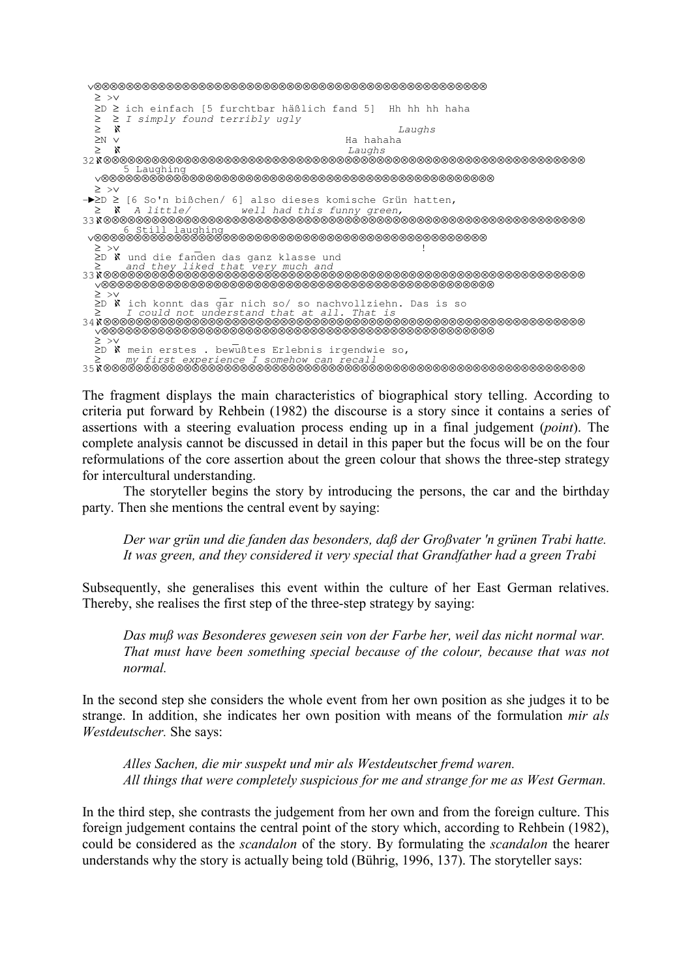```
 ∨⊗⊗⊗⊗⊗⊗⊗⊗⊗⊗⊗⊗⊗⊗⊗⊗⊗⊗⊗⊗⊗⊗⊗⊗⊗⊗⊗⊗⊗⊗⊗⊗⊗⊗⊗⊗⊗⊗⊗⊗⊗⊗⊗⊗⊗⊗⊗⊗⊗
  ≥ >∨ 
  ≥D ≥ ich einfach [5 furchtbar häßlich fand 5] Hh hh hh haha 
 ≥ ≥ I simply found terribly ugly
\geq N Laughs
  ≥N ∨ Ha hahaha 
 ≥ ℵ Laughs
32ℵ⊗⊗⊗⊗⊗⊗⊗⊗⊗⊗⊗⊗⊗⊗⊗⊗⊗⊗⊗⊗⊗⊗⊗⊗⊗⊗⊗⊗⊗⊗⊗⊗⊗⊗⊗⊗⊗⊗⊗⊗⊗⊗⊗⊗⊗⊗⊗⊗⊗⊗⊗⊗⊗⊗⊗⊗⊗⊗⊗⊗ 
     5 Laughing 
  ∨⊗⊗⊗⊗⊗⊗⊗⊗⊗⊗⊗⊗⊗⊗⊗⊗⊗⊗⊗⊗⊗⊗⊗⊗⊗⊗⊗⊗⊗⊗⊗⊗⊗⊗⊗⊗⊗⊗⊗⊗⊗⊗⊗⊗⊗⊗⊗⊗⊗
  ≥ >∨ 
-►≥D ≥ [6 So'n bißchen/ 6] also dieses komische Grün hatten, 
                      well had this funny green,
33ℵ⊗⊗⊗⊗⊗⊗⊗⊗⊗⊗⊗⊗⊗⊗⊗⊗⊗⊗⊗⊗⊗⊗⊗⊗⊗⊗⊗⊗⊗⊗⊗⊗⊗⊗⊗⊗⊗⊗⊗⊗⊗⊗⊗⊗⊗⊗⊗⊗⊗⊗⊗⊗⊗⊗⊗⊗⊗⊗⊗⊗ 
6 Still laughing 
 ∨⊗⊗⊗⊗⊗⊗⊗⊗⊗⊗⊗⊗⊗⊗⊗⊗⊗⊗⊗⊗⊗⊗⊗⊗⊗⊗⊗⊗⊗⊗⊗⊗⊗⊗⊗⊗⊗⊗⊗⊗⊗⊗⊗⊗⊗⊗⊗⊗⊗
 ≥ >∨ _ ! 
 ≥D ℵ und die fanden das ganz klasse und 
 ≥ and they liked that very much and 
33ℵ⊗⊗⊗⊗⊗⊗⊗⊗⊗⊗⊗⊗⊗⊗⊗⊗⊗⊗⊗⊗⊗⊗⊗⊗⊗⊗⊗⊗⊗⊗⊗⊗⊗⊗⊗⊗⊗⊗⊗⊗⊗⊗⊗⊗⊗⊗⊗⊗⊗⊗⊗⊗⊗⊗⊗⊗⊗⊗⊗⊗ 
  ∨⊗⊗⊗⊗⊗⊗⊗⊗⊗⊗⊗⊗⊗⊗⊗⊗⊗⊗⊗⊗⊗⊗⊗⊗⊗⊗⊗⊗⊗⊗⊗⊗⊗⊗⊗⊗⊗⊗⊗⊗⊗⊗⊗⊗⊗⊗⊗⊗⊗
 ≥ >∨ _ 
 ≥D ℵ ich konnt das gar nich so/ so nachvollziehn. Das is so 
 ≥ I could not understand that at all. That is 
34ℵ⊗⊗⊗⊗⊗⊗⊗⊗⊗⊗⊗⊗⊗⊗⊗⊗⊗⊗⊗⊗⊗⊗⊗⊗⊗⊗⊗⊗⊗⊗⊗⊗⊗⊗⊗⊗⊗⊗⊗⊗⊗⊗⊗⊗⊗⊗⊗⊗⊗⊗⊗⊗⊗⊗⊗⊗⊗⊗⊗⊗ 
  ∨⊗⊗⊗⊗⊗⊗⊗⊗⊗⊗⊗⊗⊗⊗⊗⊗⊗⊗⊗⊗⊗⊗⊗⊗⊗⊗⊗⊗⊗⊗⊗⊗⊗⊗⊗⊗⊗⊗⊗⊗⊗⊗⊗⊗⊗⊗⊗⊗⊗
  ≥ >∨ _ 
  ≥D ℵ mein erstes . bewußtes Erlebnis irgendwie so, 
 ≥ my first experience I somehow can recall
35ℵ⊗⊗⊗⊗⊗⊗⊗⊗⊗⊗⊗⊗⊗⊗⊗⊗⊗⊗⊗⊗⊗⊗⊗⊗⊗⊗⊗⊗⊗⊗⊗⊗⊗⊗⊗⊗⊗⊗⊗⊗⊗⊗⊗⊗⊗⊗⊗⊗⊗⊗⊗⊗⊗⊗⊗⊗⊗⊗⊗⊗
```
The fragment displays the main characteristics of biographical story telling. According to criteria put forward by Rehbein (1982) the discourse is a story since it contains a series of assertions with a steering evaluation process ending up in a final judgement (point). The complete analysis cannot be discussed in detail in this paper but the focus will be on the four reformulations of the core assertion about the green colour that shows the three-step strategy for intercultural understanding.

The storyteller begins the story by introducing the persons, the car and the birthday party. Then she mentions the central event by saying:

Der war grün und die fanden das besonders, daß der Großvater 'n grünen Trabi hatte. It was green, and they considered it very special that Grandfather had a green Trabi

Subsequently, she generalises this event within the culture of her East German relatives. Thereby, she realises the first step of the three-step strategy by saying:

Das muß was Besonderes gewesen sein von der Farbe her, weil das nicht normal war. That must have been something special because of the colour, because that was not normal.

In the second step she considers the whole event from her own position as she judges it to be strange. In addition, she indicates her own position with means of the formulation *mir als* Westdeutscher. She says:

Alles Sachen, die mir suspekt und mir als Westdeutscher fremd waren. All things that were completely suspicious for me and strange for me as West German.

In the third step, she contrasts the judgement from her own and from the foreign culture. This foreign judgement contains the central point of the story which, according to Rehbein (1982), could be considered as the *scandalon* of the story. By formulating the *scandalon* the hearer understands why the story is actually being told (Bührig, 1996, 137). The storyteller says: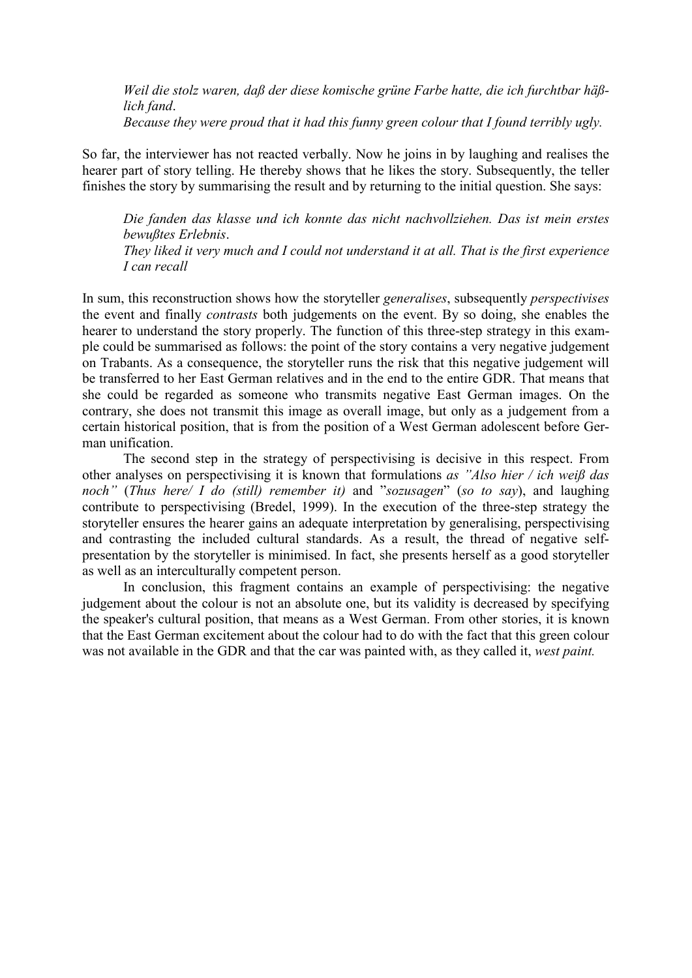Weil die stolz waren, daß der diese komische grüne Farbe hatte, die ich furchtbar häßlich fand. Because they were proud that it had this funny green colour that I found terribly ugly.

So far, the interviewer has not reacted verbally. Now he joins in by laughing and realises the hearer part of story telling. He thereby shows that he likes the story. Subsequently, the teller finishes the story by summarising the result and by returning to the initial question. She says:

Die fanden das klasse und ich konnte das nicht nachvollziehen. Das ist mein erstes bewußtes Erlebnis. They liked it very much and I could not understand it at all. That is the first experience

I can recall

In sum, this reconstruction shows how the storyteller *generalises*, subsequently *perspectivises* the event and finally contrasts both judgements on the event. By so doing, she enables the hearer to understand the story properly. The function of this three-step strategy in this example could be summarised as follows: the point of the story contains a very negative judgement on Trabants. As a consequence, the storyteller runs the risk that this negative judgement will be transferred to her East German relatives and in the end to the entire GDR. That means that she could be regarded as someone who transmits negative East German images. On the contrary, she does not transmit this image as overall image, but only as a judgement from a certain historical position, that is from the position of a West German adolescent before German unification.

The second step in the strategy of perspectivising is decisive in this respect. From other analyses on perspectivising it is known that formulations as "Also hier / ich weiß das noch" (Thus here/ I do (still) remember it) and "sozusagen" (so to say), and laughing contribute to perspectivising (Bredel, 1999). In the execution of the three-step strategy the storyteller ensures the hearer gains an adequate interpretation by generalising, perspectivising and contrasting the included cultural standards. As a result, the thread of negative selfpresentation by the storyteller is minimised. In fact, she presents herself as a good storyteller as well as an interculturally competent person.

In conclusion, this fragment contains an example of perspectivising: the negative judgement about the colour is not an absolute one, but its validity is decreased by specifying the speaker's cultural position, that means as a West German. From other stories, it is known that the East German excitement about the colour had to do with the fact that this green colour was not available in the GDR and that the car was painted with, as they called it, west paint.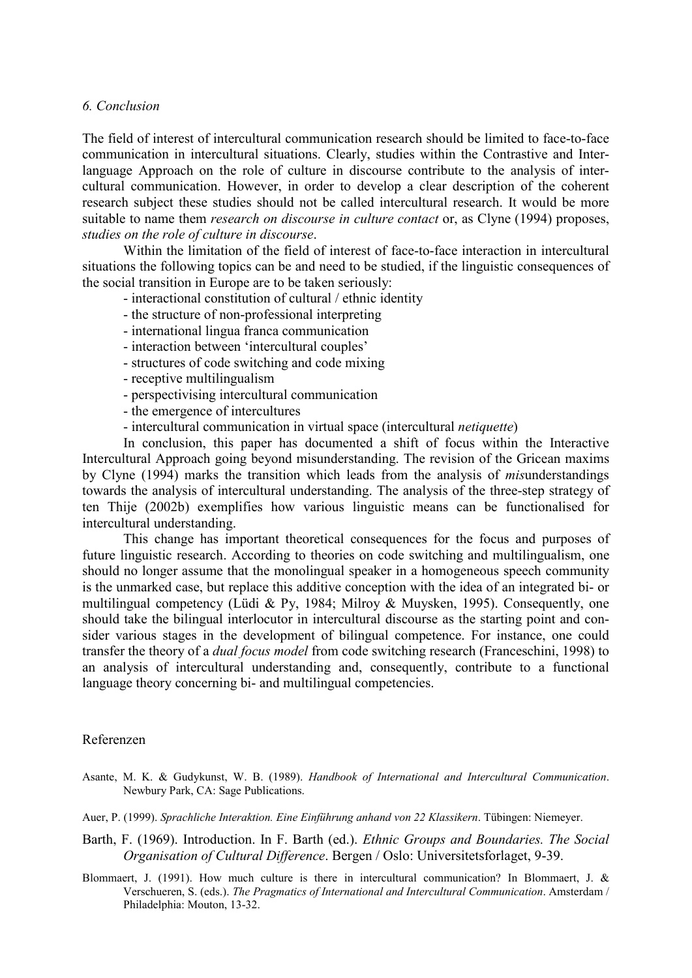#### 6. Conclusion

The field of interest of intercultural communication research should be limited to face-to-face communication in intercultural situations. Clearly, studies within the Contrastive and Interlanguage Approach on the role of culture in discourse contribute to the analysis of intercultural communication. However, in order to develop a clear description of the coherent research subject these studies should not be called intercultural research. It would be more suitable to name them *research on discourse in culture contact* or, as Clyne (1994) proposes, studies on the role of culture in discourse.

Within the limitation of the field of interest of face-to-face interaction in intercultural situations the following topics can be and need to be studied, if the linguistic consequences of the social transition in Europe are to be taken seriously:

- interactional constitution of cultural / ethnic identity
- the structure of non-professional interpreting
- international lingua franca communication
- interaction between 'intercultural couples'
- structures of code switching and code mixing
- receptive multilingualism
- perspectivising intercultural communication
- the emergence of intercultures
- intercultural communication in virtual space (intercultural *netiquette*)

In conclusion, this paper has documented a shift of focus within the Interactive Intercultural Approach going beyond misunderstanding. The revision of the Gricean maxims by Clyne (1994) marks the transition which leads from the analysis of misunderstandings towards the analysis of intercultural understanding. The analysis of the three-step strategy of ten Thije (2002b) exemplifies how various linguistic means can be functionalised for intercultural understanding.

This change has important theoretical consequences for the focus and purposes of future linguistic research. According to theories on code switching and multilingualism, one should no longer assume that the monolingual speaker in a homogeneous speech community is the unmarked case, but replace this additive conception with the idea of an integrated bi- or multilingual competency (Lüdi & Py, 1984; Milroy & Muysken, 1995). Consequently, one should take the bilingual interlocutor in intercultural discourse as the starting point and consider various stages in the development of bilingual competence. For instance, one could transfer the theory of a dual focus model from code switching research (Franceschini, 1998) to an analysis of intercultural understanding and, consequently, contribute to a functional language theory concerning bi- and multilingual competencies.

#### Referenzen

- Asante, M. K. & Gudykunst, W. B. (1989). Handbook of International and Intercultural Communication. Newbury Park, CA: Sage Publications.
- Auer, P. (1999). Sprachliche Interaktion. Eine Einführung anhand von 22 Klassikern. Tübingen: Niemeyer.
- Barth, F. (1969). Introduction. In F. Barth (ed.). Ethnic Groups and Boundaries. The Social Organisation of Cultural Difference. Bergen / Oslo: Universitetsforlaget, 9-39.
- Blommaert, J. (1991). How much culture is there in intercultural communication? In Blommaert, J. & Verschueren, S. (eds.). The Pragmatics of International and Intercultural Communication. Amsterdam / Philadelphia: Mouton, 13-32.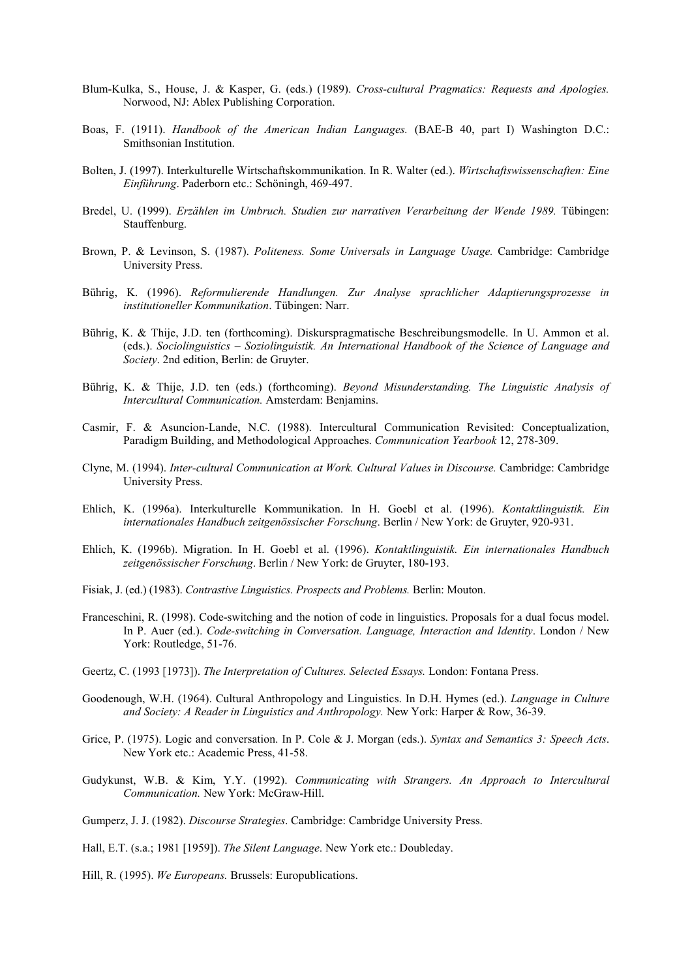- Blum-Kulka, S., House, J. & Kasper, G. (eds.) (1989). Cross-cultural Pragmatics: Requests and Apologies. Norwood, NJ: Ablex Publishing Corporation.
- Boas, F. (1911). Handbook of the American Indian Languages. (BAE-B 40, part I) Washington D.C.: Smithsonian Institution.
- Bolten, J. (1997). Interkulturelle Wirtschaftskommunikation. In R. Walter (ed.). Wirtschaftswissenschaften: Eine Einführung. Paderborn etc.: Schöningh, 469-497.
- Bredel, U. (1999). Erzählen im Umbruch. Studien zur narrativen Verarbeitung der Wende 1989. Tübingen: Stauffenburg.
- Brown, P. & Levinson, S. (1987). Politeness. Some Universals in Language Usage. Cambridge: Cambridge University Press.
- Bührig, K. (1996). Reformulierende Handlungen. Zur Analyse sprachlicher Adaptierungsprozesse in institutioneller Kommunikation. Tübingen: Narr.
- Bührig, K. & Thije, J.D. ten (forthcoming). Diskurspragmatische Beschreibungsmodelle. In U. Ammon et al. (eds.). Sociolinguistics – Soziolinguistik. An International Handbook of the Science of Language and Society. 2nd edition, Berlin: de Gruyter.
- Bührig, K. & Thije, J.D. ten (eds.) (forthcoming). Beyond Misunderstanding. The Linguistic Analysis of Intercultural Communication. Amsterdam: Benjamins.
- Casmir, F. & Asuncion-Lande, N.C. (1988). Intercultural Communication Revisited: Conceptualization, Paradigm Building, and Methodological Approaches. Communication Yearbook 12, 278-309.
- Clyne, M. (1994). Inter-cultural Communication at Work. Cultural Values in Discourse. Cambridge: Cambridge University Press.
- Ehlich, K. (1996a). Interkulturelle Kommunikation. In H. Goebl et al. (1996). Kontaktlinguistik. Ein internationales Handbuch zeitgenössischer Forschung. Berlin / New York: de Gruyter, 920-931.
- Ehlich, K. (1996b). Migration. In H. Goebl et al. (1996). Kontaktlinguistik. Ein internationales Handbuch zeitgenössischer Forschung. Berlin / New York: de Gruyter, 180-193.
- Fisiak, J. (ed.) (1983). Contrastive Linguistics. Prospects and Problems. Berlin: Mouton.
- Franceschini, R. (1998). Code-switching and the notion of code in linguistics. Proposals for a dual focus model. In P. Auer (ed.). Code-switching in Conversation. Language, Interaction and Identity. London / New York: Routledge, 51-76.
- Geertz, C. (1993 [1973]). The Interpretation of Cultures. Selected Essays. London: Fontana Press.
- Goodenough, W.H. (1964). Cultural Anthropology and Linguistics. In D.H. Hymes (ed.). Language in Culture and Society: A Reader in Linguistics and Anthropology. New York: Harper & Row, 36-39.
- Grice, P. (1975). Logic and conversation. In P. Cole & J. Morgan (eds.). Syntax and Semantics 3: Speech Acts. New York etc.: Academic Press, 41-58.
- Gudykunst, W.B. & Kim, Y.Y. (1992). Communicating with Strangers. An Approach to Intercultural Communication. New York: McGraw-Hill.
- Gumperz, J. J. (1982). Discourse Strategies. Cambridge: Cambridge University Press.
- Hall, E.T. (s.a.; 1981 [1959]). The Silent Language. New York etc.: Doubleday.
- Hill, R. (1995). We Europeans. Brussels: Europublications.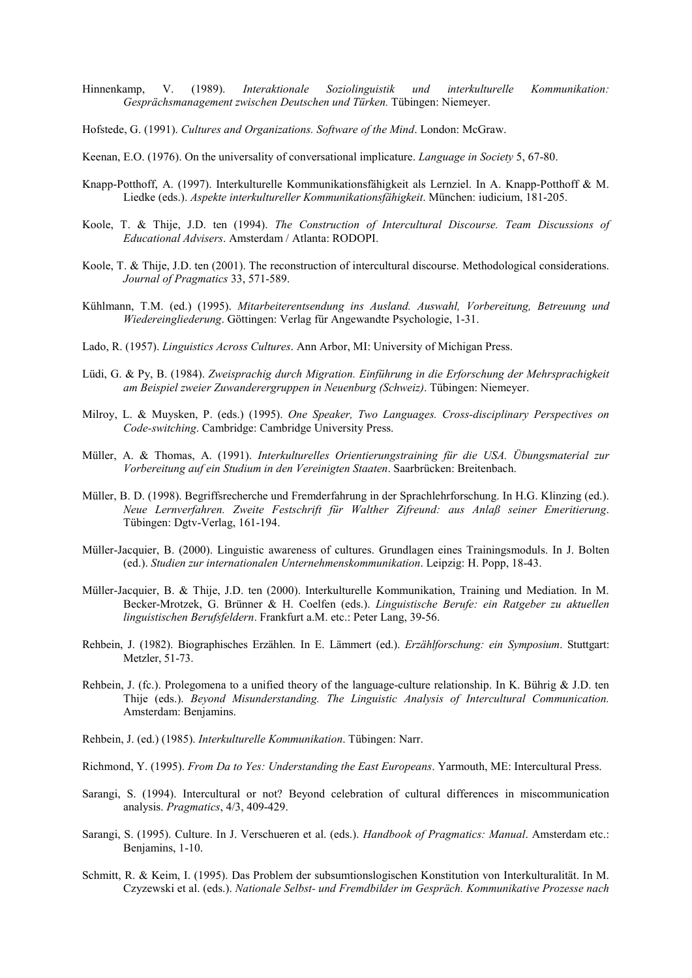- Hinnenkamp, V. (1989). Interaktionale Soziolinguistik und interkulturelle Kommunikation: Gesprächsmanagement zwischen Deutschen und Türken. Tübingen: Niemeyer.
- Hofstede, G. (1991). Cultures and Organizations. Software of the Mind. London: McGraw.
- Keenan, E.O. (1976). On the universality of conversational implicature. *Language in Society* 5, 67-80.
- Knapp-Potthoff, A. (1997). Interkulturelle Kommunikationsfähigkeit als Lernziel. In A. Knapp-Potthoff & M. Liedke (eds.). Aspekte interkultureller Kommunikationsfähigkeit. München: iudicium, 181-205.
- Koole, T. & Thije, J.D. ten (1994). The Construction of Intercultural Discourse. Team Discussions of Educational Advisers. Amsterdam / Atlanta: RODOPI.
- Koole, T. & Thije, J.D. ten (2001). The reconstruction of intercultural discourse. Methodological considerations. Journal of Pragmatics 33, 571-589.
- Kühlmann, T.M. (ed.) (1995). Mitarbeiterentsendung ins Ausland. Auswahl, Vorbereitung, Betreuung und Wiedereingliederung. Göttingen: Verlag für Angewandte Psychologie, 1-31.
- Lado, R. (1957). Linguistics Across Cultures. Ann Arbor, MI: University of Michigan Press.
- Lüdi, G. & Py, B. (1984). Zweisprachig durch Migration. Einführung in die Erforschung der Mehrsprachigkeit am Beispiel zweier Zuwanderergruppen in Neuenburg (Schweiz). Tübingen: Niemeyer.
- Milroy, L. & Muysken, P. (eds.) (1995). One Speaker, Two Languages. Cross-disciplinary Perspectives on Code-switching. Cambridge: Cambridge University Press.
- Müller, A. & Thomas, A. (1991). Interkulturelles Orientierungstraining für die USA. Übungsmaterial zur Vorbereitung auf ein Studium in den Vereinigten Staaten. Saarbrücken: Breitenbach.
- Müller, B. D. (1998). Begriffsrecherche und Fremderfahrung in der Sprachlehrforschung. In H.G. Klinzing (ed.). Neue Lernverfahren. Zweite Festschrift für Walther Zifreund: aus Anlaß seiner Emeritierung. Tübingen: Dgtv-Verlag, 161-194.
- Müller-Jacquier, B. (2000). Linguistic awareness of cultures. Grundlagen eines Trainingsmoduls. In J. Bolten (ed.). Studien zur internationalen Unternehmenskommunikation. Leipzig: H. Popp, 18-43.
- Müller-Jacquier, B. & Thije, J.D. ten (2000). Interkulturelle Kommunikation, Training und Mediation. In M. Becker-Mrotzek, G. Brünner & H. Coelfen (eds.). Linguistische Berufe: ein Ratgeber zu aktuellen linguistischen Berufsfeldern. Frankfurt a.M. etc.: Peter Lang, 39-56.
- Rehbein, J. (1982). Biographisches Erzählen. In E. Lämmert (ed.). Erzählforschung: ein Symposium. Stuttgart: Metzler, 51-73.
- Rehbein, J. (fc.). Prolegomena to a unified theory of the language-culture relationship. In K. Bührig & J.D. ten Thije (eds.). Beyond Misunderstanding. The Linguistic Analysis of Intercultural Communication. Amsterdam: Benjamins.
- Rehbein, J. (ed.) (1985). Interkulturelle Kommunikation. Tübingen: Narr.
- Richmond, Y. (1995). From Da to Yes: Understanding the East Europeans. Yarmouth, ME: Intercultural Press.
- Sarangi, S. (1994). Intercultural or not? Beyond celebration of cultural differences in miscommunication analysis. Pragmatics, 4/3, 409-429.
- Sarangi, S. (1995). Culture. In J. Verschueren et al. (eds.). Handbook of Pragmatics: Manual. Amsterdam etc.: Benjamins, 1-10.
- Schmitt, R. & Keim, I. (1995). Das Problem der subsumtionslogischen Konstitution von Interkulturalität. In M. Czyzewski et al. (eds.). Nationale Selbst- und Fremdbilder im Gespräch. Kommunikative Prozesse nach